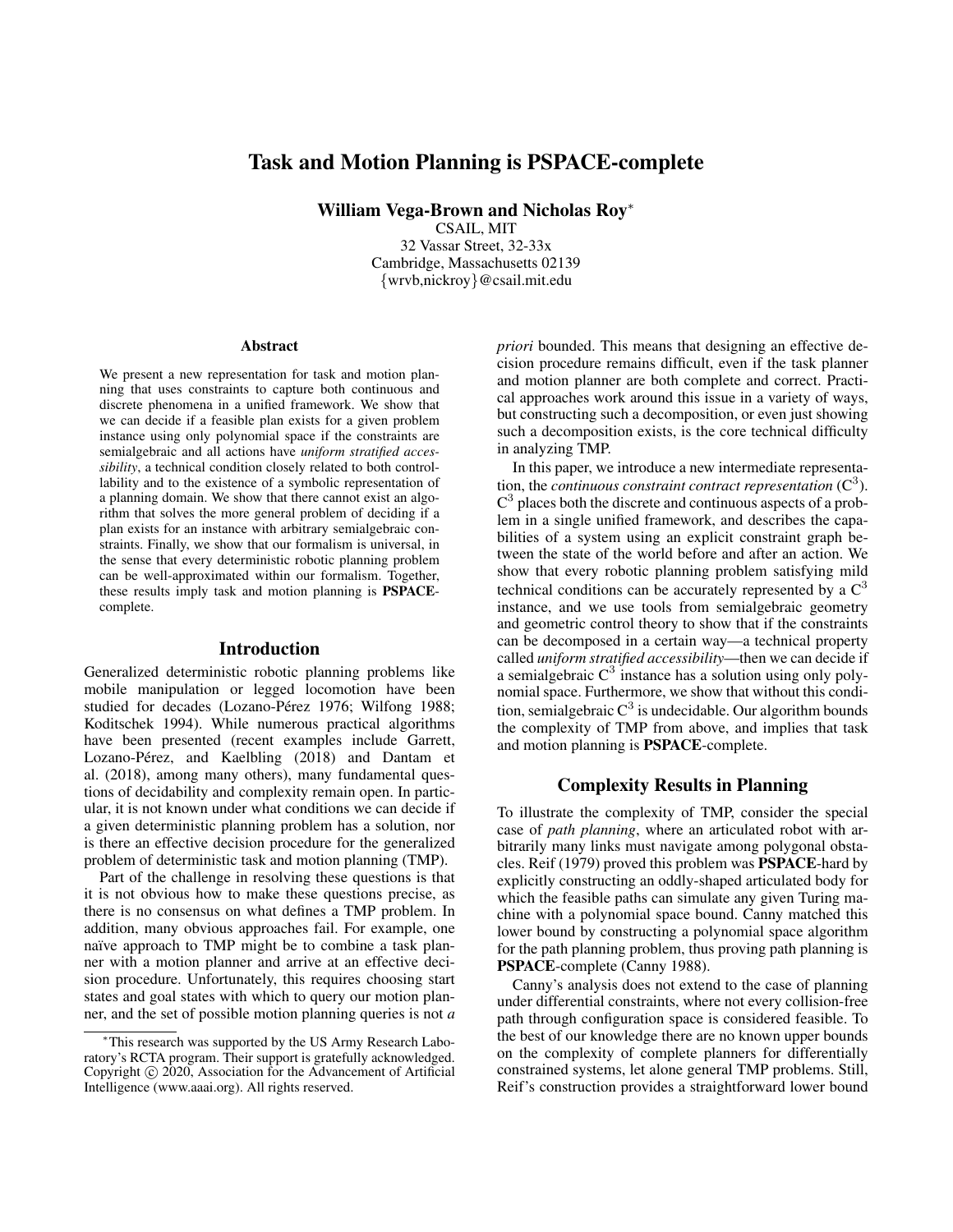## Task and Motion Planning is PSPACE-complete

William Vega-Brown and Nicholas Roy<sup>∗</sup>

CSAIL, MIT 32 Vassar Street, 32-33x Cambridge, Massachusetts 02139 {wrvb,nickroy}@csail.mit.edu

#### **Abstract**

We present a new representation for task and motion planning that uses constraints to capture both continuous and discrete phenomena in a unified framework. We show that we can decide if a feasible plan exists for a given problem instance using only polynomial space if the constraints are semialgebraic and all actions have *uniform stratified accessibility*, a technical condition closely related to both controllability and to the existence of a symbolic representation of a planning domain. We show that there cannot exist an algorithm that solves the more general problem of deciding if a plan exists for an instance with arbitrary semialgebraic constraints. Finally, we show that our formalism is universal, in the sense that every deterministic robotic planning problem can be well-approximated within our formalism. Together, these results imply task and motion planning is PSPACEcomplete.

#### Introduction

Generalized deterministic robotic planning problems like mobile manipulation or legged locomotion have been studied for decades (Lozano-Pérez 1976; Wilfong 1988; Koditschek 1994). While numerous practical algorithms have been presented (recent examples include Garrett, Lozano-Pérez, and Kaelbling (2018) and Dantam et al. (2018), among many others), many fundamental questions of decidability and complexity remain open. In particular, it is not known under what conditions we can decide if a given deterministic planning problem has a solution, nor is there an effective decision procedure for the generalized problem of deterministic task and motion planning (TMP).

Part of the challenge in resolving these questions is that it is not obvious how to make these questions precise, as there is no consensus on what defines a TMP problem. In addition, many obvious approaches fail. For example, one naïve approach to TMP might be to combine a task planner with a motion planner and arrive at an effective decision procedure. Unfortunately, this requires choosing start states and goal states with which to query our motion planner, and the set of possible motion planning queries is not *a*

*priori* bounded. This means that designing an effective decision procedure remains difficult, even if the task planner and motion planner are both complete and correct. Practical approaches work around this issue in a variety of ways, but constructing such a decomposition, or even just showing such a decomposition exists, is the core technical difficulty in analyzing TMP.

In this paper, we introduce a new intermediate representation, the *continuous constraint contract representation*  $(C^3)$ .  $C<sup>3</sup>$  places both the discrete and continuous aspects of a problem in a single unified framework, and describes the capabilities of a system using an explicit constraint graph between the state of the world before and after an action. We show that every robotic planning problem satisfying mild technical conditions can be accurately represented by a  $C<sup>3</sup>$ instance, and we use tools from semialgebraic geometry and geometric control theory to show that if the constraints can be decomposed in a certain way—a technical property called *uniform stratified accessibility*—then we can decide if a semialgebraic  $C^3$  instance has a solution using only polynomial space. Furthermore, we show that without this condition, semialgebraic  $C^3$  is undecidable. Our algorithm bounds the complexity of TMP from above, and implies that task and motion planning is PSPACE-complete.

#### Complexity Results in Planning

To illustrate the complexity of TMP, consider the special case of *path planning*, where an articulated robot with arbitrarily many links must navigate among polygonal obstacles. Reif (1979) proved this problem was PSPACE-hard by explicitly constructing an oddly-shaped articulated body for which the feasible paths can simulate any given Turing machine with a polynomial space bound. Canny matched this lower bound by constructing a polynomial space algorithm for the path planning problem, thus proving path planning is PSPACE-complete (Canny 1988).

Canny's analysis does not extend to the case of planning under differential constraints, where not every collision-free path through configuration space is considered feasible. To the best of our knowledge there are no known upper bounds on the complexity of complete planners for differentially constrained systems, let alone general TMP problems. Still, Reif's construction provides a straightforward lower bound

<sup>∗</sup>This research was supported by the US Army Research Laboratory's RCTA program. Their support is gratefully acknowledged. Copyright (c) 2020, Association for the Advancement of Artificial Intelligence (www.aaai.org). All rights reserved.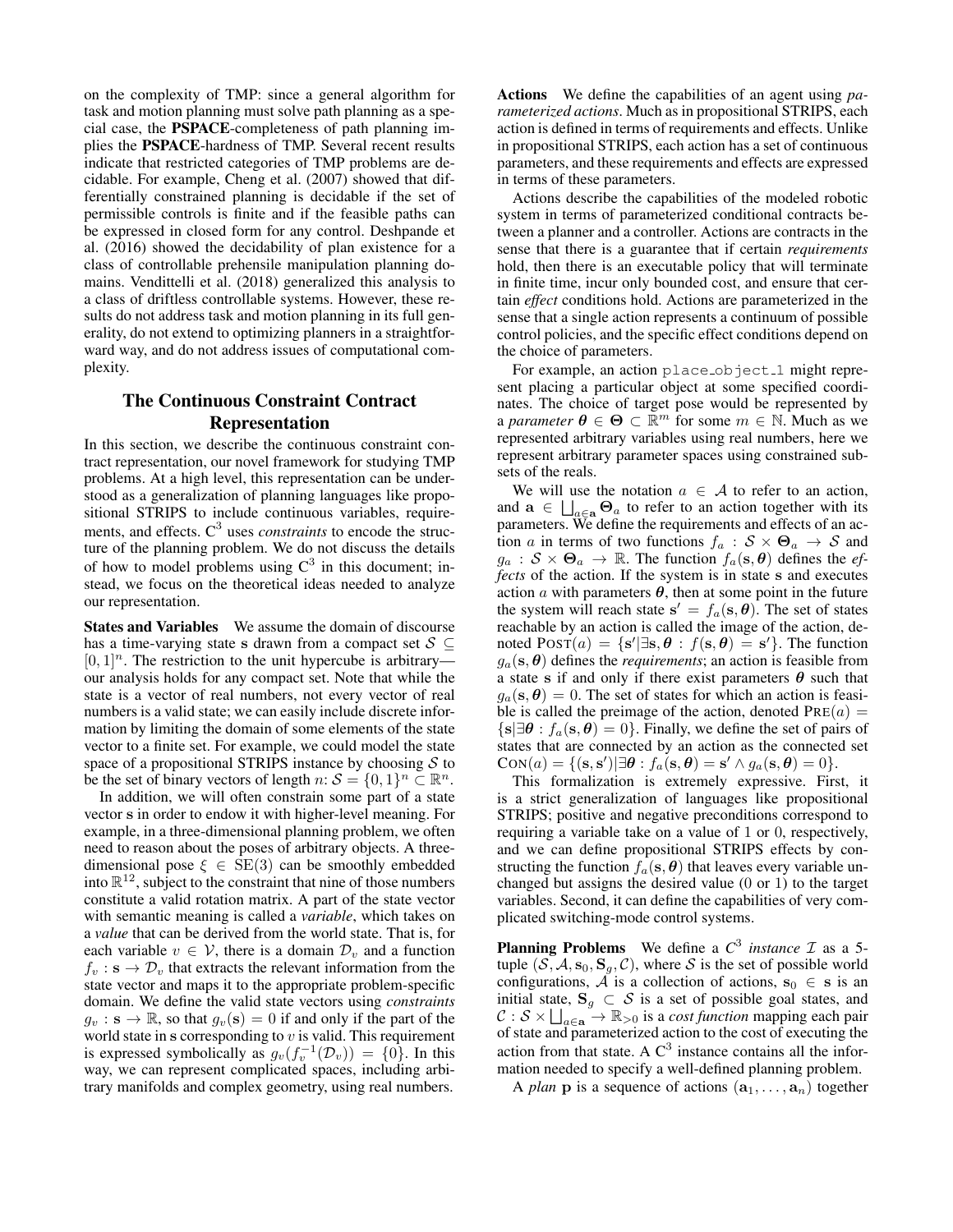on the complexity of TMP: since a general algorithm for task and motion planning must solve path planning as a special case, the PSPACE-completeness of path planning implies the PSPACE-hardness of TMP. Several recent results indicate that restricted categories of TMP problems are decidable. For example, Cheng et al. (2007) showed that differentially constrained planning is decidable if the set of permissible controls is finite and if the feasible paths can be expressed in closed form for any control. Deshpande et al. (2016) showed the decidability of plan existence for a class of controllable prehensile manipulation planning domains. Vendittelli et al. (2018) generalized this analysis to a class of driftless controllable systems. However, these results do not address task and motion planning in its full generality, do not extend to optimizing planners in a straightforward way, and do not address issues of computational complexity.

### The Continuous Constraint Contract Representation

In this section, we describe the continuous constraint contract representation, our novel framework for studying TMP problems. At a high level, this representation can be understood as a generalization of planning languages like propositional STRIPS to include continuous variables, requirements, and effects. C<sup>3</sup> uses *constraints* to encode the structure of the planning problem. We do not discuss the details of how to model problems using  $C^3$  in this document; instead, we focus on the theoretical ideas needed to analyze our representation.

States and Variables We assume the domain of discourse has a time-varying state s drawn from a compact set  $S \subseteq$  $[0, 1]$ <sup>n</sup>. The restriction to the unit hypercube is arbitrary our analysis holds for any compact set. Note that while the state is a vector of real numbers, not every vector of real numbers is a valid state; we can easily include discrete information by limiting the domain of some elements of the state vector to a finite set. For example, we could model the state space of a propositional STRIPS instance by choosing  $S$  to be the set of binary vectors of length  $n: S = \{0, 1\}^n \subset \mathbb{R}^n$ .

In addition, we will often constrain some part of a state vector s in order to endow it with higher-level meaning. For example, in a three-dimensional planning problem, we often need to reason about the poses of arbitrary objects. A threedimensional pose  $\xi \in SE(3)$  can be smoothly embedded into  $\mathbb{R}^{12}$ , subject to the constraint that nine of those numbers constitute a valid rotation matrix. A part of the state vector with semantic meaning is called a *variable*, which takes on a *value* that can be derived from the world state. That is, for each variable  $v \in V$ , there is a domain  $\mathcal{D}_v$  and a function  $f_v$ :  $s \to \mathcal{D}_v$  that extracts the relevant information from the state vector and maps it to the appropriate problem-specific domain. We define the valid state vectors using *constraints*  $g_v$ :  $\mathbf{s} \to \mathbb{R}$ , so that  $g_v(\mathbf{s}) = 0$  if and only if the part of the world state in  $s$  corresponding to  $v$  is valid. This requirement is expressed symbolically as  $g_v(f_v^{-1}(\mathcal{D}_v)) = \{0\}$ . In this way, we can represent complicated spaces, including arbitrary manifolds and complex geometry, using real numbers.

Actions We define the capabilities of an agent using *parameterized actions*. Much as in propositional STRIPS, each action is defined in terms of requirements and effects. Unlike in propositional STRIPS, each action has a set of continuous parameters, and these requirements and effects are expressed in terms of these parameters.

Actions describe the capabilities of the modeled robotic system in terms of parameterized conditional contracts between a planner and a controller. Actions are contracts in the sense that there is a guarantee that if certain *requirements* hold, then there is an executable policy that will terminate in finite time, incur only bounded cost, and ensure that certain *effect* conditions hold. Actions are parameterized in the sense that a single action represents a continuum of possible control policies, and the specific effect conditions depend on the choice of parameters.

For example, an action place object 1 might represent placing a particular object at some specified coordinates. The choice of target pose would be represented by a *parameter*  $\boldsymbol{\theta} \in \boldsymbol{\Theta} \subset \mathbb{R}^m$  for some  $m \in \mathbb{N}$ . Much as we represented arbitrary variables using real numbers, here we represent arbitrary parameter spaces using constrained subsets of the reals.

We will use the notation  $a \in \mathcal{A}$  to refer to an action, and  $\mathbf{a} \in \bigsqcup_{a \in \mathbf{a}} \mathbf{\Theta}_a$  to refer to an action together with its parameters. We define the requirements and effects of an action a in terms of two functions  $f_a$ :  $S \times \Theta_a \rightarrow S$  and  $g_a$ :  $S \times \Theta_a \rightarrow \mathbb{R}$ . The function  $f_a(s, \theta)$  defines the *effects* of the action. If the system is in state s and executes action  $\alpha$  with parameters  $\theta$ , then at some point in the future the system will reach state  $s' = f_a(s, \theta)$ . The set of states reachable by an action is called the image of the action, denoted  $\text{PosT}(a) = \{s' | \exists s, \theta : f(s, \theta) = s'\}.$  The function  $g_a$ (s,  $\theta$ ) defines the *requirements*; an action is feasible from a state s if and only if there exist parameters  $\theta$  such that  $g_a(s, \theta) = 0$ . The set of states for which an action is feasible is called the preimage of the action, denoted  $PRE(a) =$  $\{s|\exists \theta : f_a(s, \theta) = 0\}$ . Finally, we define the set of pairs of states that are connected by an action as the connected set  $\text{CON}(a) = \{(\mathbf{s}, \mathbf{s}') | \exists \boldsymbol{\theta} : f_a(\mathbf{s}, \boldsymbol{\theta}) = \mathbf{s}' \land g_a(\mathbf{s}, \boldsymbol{\theta}) = 0\}.$ 

This formalization is extremely expressive. First, it is a strict generalization of languages like propositional STRIPS; positive and negative preconditions correspond to requiring a variable take on a value of 1 or 0, respectively, and we can define propositional STRIPS effects by constructing the function  $f_a(s, \theta)$  that leaves every variable unchanged but assigns the desired value (0 or 1) to the target variables. Second, it can define the capabilities of very complicated switching-mode control systems.

**Planning Problems** We define a  $C^3$  *instance*  $\mathcal I$  as a 5tuple  $(S, A, s_0, S_g, C)$ , where S is the set of possible world configurations,  $\overline{A}$  is a collection of actions,  $s_0 \in s$  is an initial state,  $S_g \subset S$  is a set of possible goal states, and  $C: \mathcal{S} \times \bigsqcup_{a \in \mathbf{a}}^{\mathcal{S}} \to \mathbb{R}_{>0}$  is a *cost function* mapping each pair of state and parameterized action to the cost of executing the action from that state. A  $C<sup>3</sup>$  instance contains all the information needed to specify a well-defined planning problem.

A *plan* **p** is a sequence of actions  $(a_1, \ldots, a_n)$  together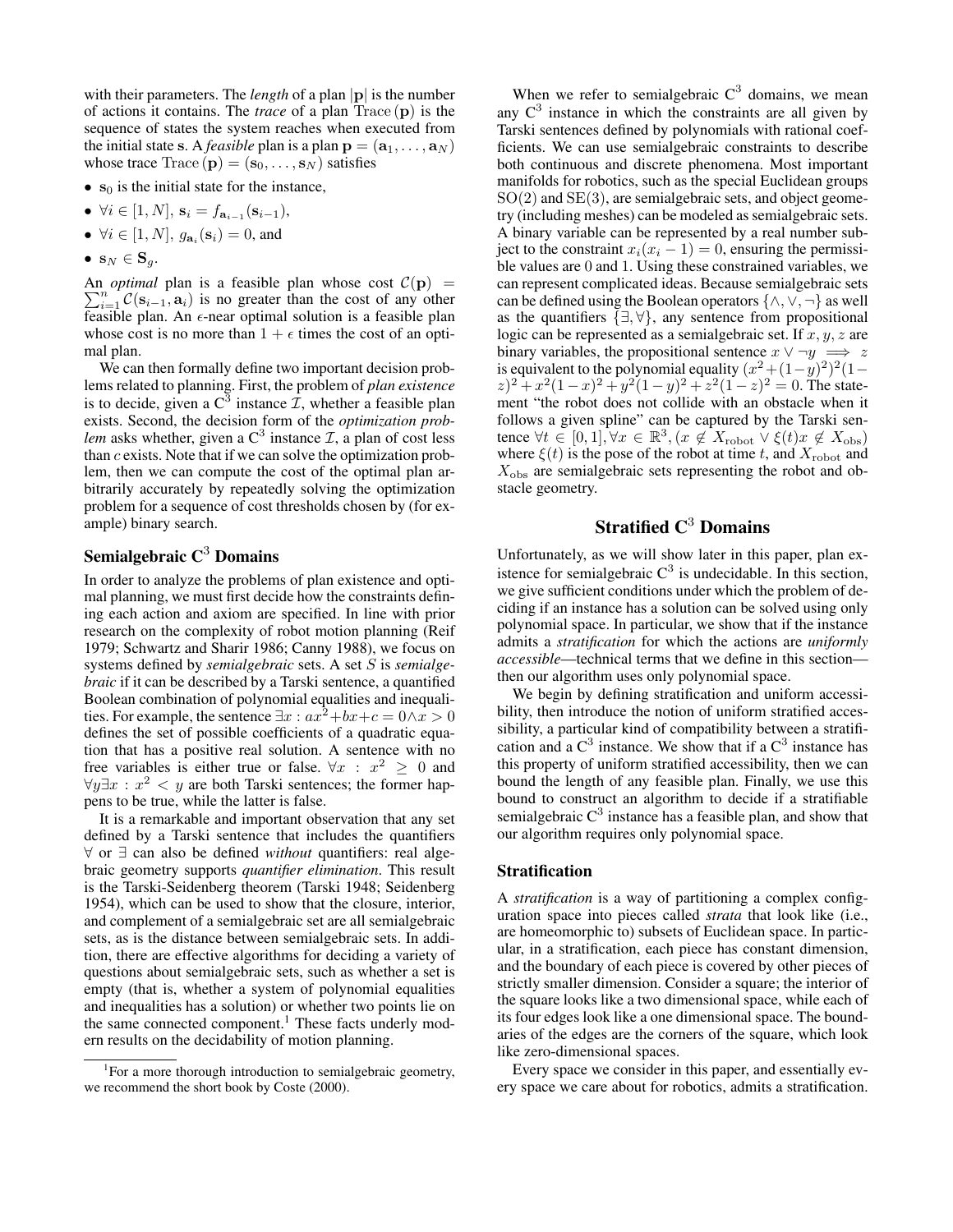with their parameters. The *length* of a plan  $|p|$  is the number of actions it contains. The *trace* of a plan Trace (p) is the sequence of states the system reaches when executed from the initial state s. A *feasible* plan is a plan  $\mathbf{p} = (\mathbf{a}_1, \dots, \mathbf{a}_N)$ whose trace  $Trace(p) = (s_0, \ldots, s_N)$  satisfies

- $s_0$  is the initial state for the instance,
- $\forall i \in [1, N], \, \mathbf{s}_i = f_{\mathbf{a}_{i-1}}(\mathbf{s}_{i-1}),$
- $\forall i \in [1, N], g_{\mathbf{a}_i}(\mathbf{s}_i) = 0$ , and
- $\mathbf{s}_N \in \mathbf{S}_q$ .

 $\sum_{i=1}^{n} C(s_{i-1}, a_i)$  is no greater than the cost of any other An *optimal* plan is a feasible plan whose cost  $C(\mathbf{p})$  = feasible plan. An  $\epsilon$ -near optimal solution is a feasible plan whose cost is no more than  $1 + \epsilon$  times the cost of an optimal plan.

We can then formally define two important decision problems related to planning. First, the problem of *plan existence* is to decide, given a  $C^3$  instance  $\mathcal{I}$ , whether a feasible plan exists. Second, the decision form of the *optimization problem* asks whether, given a  $C^3$  instance  $\mathcal{I}$ , a plan of cost less than c exists. Note that if we can solve the optimization problem, then we can compute the cost of the optimal plan arbitrarily accurately by repeatedly solving the optimization problem for a sequence of cost thresholds chosen by (for example) binary search.

### Semialgebraic  $C<sup>3</sup>$  Domains

In order to analyze the problems of plan existence and optimal planning, we must first decide how the constraints defining each action and axiom are specified. In line with prior research on the complexity of robot motion planning (Reif 1979; Schwartz and Sharir 1986; Canny 1988), we focus on systems defined by *semialgebraic* sets. A set S is *semialgebraic* if it can be described by a Tarski sentence, a quantified Boolean combination of polynomial equalities and inequalities. For example, the sentence  $\exists x : ax^2+bx+c = 0 \land x > 0$ defines the set of possible coefficients of a quadratic equation that has a positive real solution. A sentence with no free variables is either true or false.  $\forall x : x^2 \geq 0$  and  $\forall y \exists x : x^2 < y$  are both Tarski sentences; the former happens to be true, while the latter is false.

It is a remarkable and important observation that any set defined by a Tarski sentence that includes the quantifiers ∀ or ∃ can also be defined *without* quantifiers: real algebraic geometry supports *quantifier elimination*. This result is the Tarski-Seidenberg theorem (Tarski 1948; Seidenberg 1954), which can be used to show that the closure, interior, and complement of a semialgebraic set are all semialgebraic sets, as is the distance between semialgebraic sets. In addition, there are effective algorithms for deciding a variety of questions about semialgebraic sets, such as whether a set is empty (that is, whether a system of polynomial equalities and inequalities has a solution) or whether two points lie on the same connected component.<sup>1</sup> These facts underly modern results on the decidability of motion planning.

When we refer to semialgebraic  $C^3$  domains, we mean any  $C<sup>3</sup>$  instance in which the constraints are all given by Tarski sentences defined by polynomials with rational coefficients. We can use semialgebraic constraints to describe both continuous and discrete phenomena. Most important manifolds for robotics, such as the special Euclidean groups  $SO(2)$  and  $SE(3)$ , are semialgebraic sets, and object geometry (including meshes) can be modeled as semialgebraic sets. A binary variable can be represented by a real number subject to the constraint  $x_i(x_i - 1) = 0$ , ensuring the permissible values are 0 and 1. Using these constrained variables, we can represent complicated ideas. Because semialgebraic sets can be defined using the Boolean operators  $\{\wedge, \vee, \neg\}$  as well as the quantifiers  $\{\exists, \forall\}$ , any sentence from propositional logic can be represented as a semialgebraic set. If  $x, y, z$  are binary variables, the propositional sentence  $x \vee \neg y \implies z$ is equivalent to the polynomial equality  $(x^2 + (1 - y)^2)^2(1 (z)^2 + x^2(1-x)^2 + y^2(1-y)^2 + z^2(1-z)^2 = 0$ . The statement "the robot does not collide with an obstacle when it follows a given spline" can be captured by the Tarski sentence  $\forall t \in [0,1], \forall x \in \mathbb{R}^3, (x \notin X_{\text{robot}} \vee \xi(t)x \notin X_{\text{obs}})$ where  $\xi(t)$  is the pose of the robot at time t, and  $X_{\text{robot}}$  and  $X<sub>obs</sub>$  are semialgebraic sets representing the robot and obstacle geometry.

## Stratified  $C^3$  Domains

Unfortunately, as we will show later in this paper, plan existence for semialgebraic  $C^3$  is undecidable. In this section, we give sufficient conditions under which the problem of deciding if an instance has a solution can be solved using only polynomial space. In particular, we show that if the instance admits a *stratification* for which the actions are *uniformly accessible*—technical terms that we define in this section then our algorithm uses only polynomial space.

We begin by defining stratification and uniform accessibility, then introduce the notion of uniform stratified accessibility, a particular kind of compatibility between a stratification and a  $C^3$  instance. We show that if a  $C^3$  instance has this property of uniform stratified accessibility, then we can bound the length of any feasible plan. Finally, we use this bound to construct an algorithm to decide if a stratifiable semialgebraic  $C^3$  instance has a feasible plan, and show that our algorithm requires only polynomial space.

#### **Stratification**

A *stratification* is a way of partitioning a complex configuration space into pieces called *strata* that look like (i.e., are homeomorphic to) subsets of Euclidean space. In particular, in a stratification, each piece has constant dimension, and the boundary of each piece is covered by other pieces of strictly smaller dimension. Consider a square; the interior of the square looks like a two dimensional space, while each of its four edges look like a one dimensional space. The boundaries of the edges are the corners of the square, which look like zero-dimensional spaces.

Every space we consider in this paper, and essentially every space we care about for robotics, admits a stratification.

<sup>&</sup>lt;sup>1</sup>For a more thorough introduction to semialgebraic geometry, we recommend the short book by Coste (2000).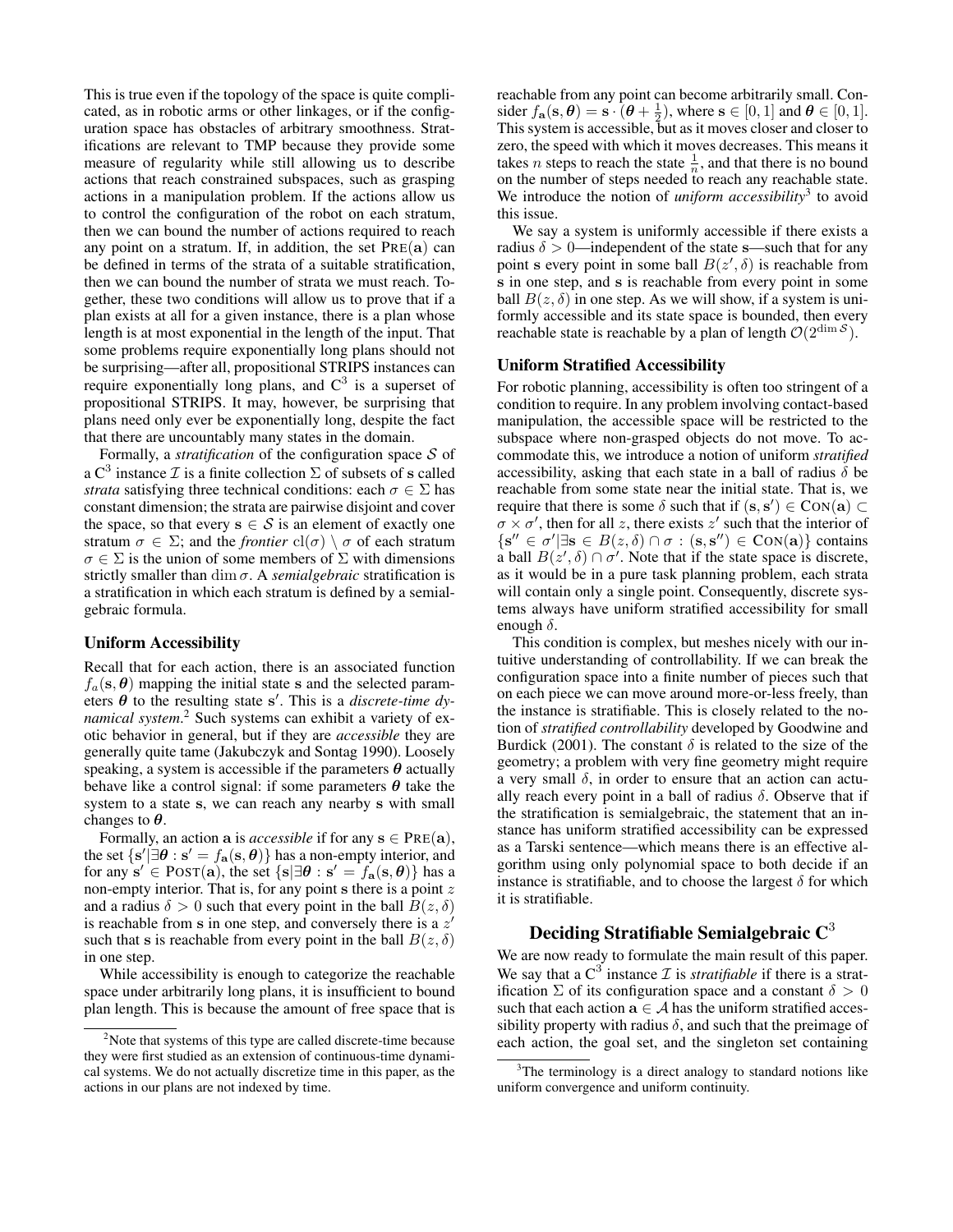This is true even if the topology of the space is quite complicated, as in robotic arms or other linkages, or if the configuration space has obstacles of arbitrary smoothness. Stratifications are relevant to TMP because they provide some measure of regularity while still allowing us to describe actions that reach constrained subspaces, such as grasping actions in a manipulation problem. If the actions allow us to control the configuration of the robot on each stratum, then we can bound the number of actions required to reach any point on a stratum. If, in addition, the set  $PRE(a)$  can be defined in terms of the strata of a suitable stratification, then we can bound the number of strata we must reach. Together, these two conditions will allow us to prove that if a plan exists at all for a given instance, there is a plan whose length is at most exponential in the length of the input. That some problems require exponentially long plans should not be surprising—after all, propositional STRIPS instances can require exponentially long plans, and  $C^3$  is a superset of propositional STRIPS. It may, however, be surprising that plans need only ever be exponentially long, despite the fact that there are uncountably many states in the domain.

Formally, a *stratification* of the configuration space S of a C<sup>3</sup> instance  $\mathcal I$  is a finite collection  $\Sigma$  of subsets of s called *strata* satisfying three technical conditions: each  $\sigma \in \Sigma$  has constant dimension; the strata are pairwise disjoint and cover the space, so that every  $s \in S$  is an element of exactly one stratum  $\sigma \in \Sigma$ ; and the *frontier*  $\text{cl}(\sigma) \setminus \sigma$  of each stratum  $\sigma \in \Sigma$  is the union of some members of  $\Sigma$  with dimensions strictly smaller than dim σ. A *semialgebraic* stratification is a stratification in which each stratum is defined by a semialgebraic formula.

#### Uniform Accessibility

Recall that for each action, there is an associated function  $f_a(s, \theta)$  mapping the initial state s and the selected parameters  $\theta$  to the resulting state s'. This is a *discrete-time dynamical system*. <sup>2</sup> Such systems can exhibit a variety of exotic behavior in general, but if they are *accessible* they are generally quite tame (Jakubczyk and Sontag 1990). Loosely speaking, a system is accessible if the parameters  $\theta$  actually behave like a control signal: if some parameters  $\theta$  take the system to a state s, we can reach any nearby s with small changes to  $\theta$ .

Formally, an action **a** is *accessible* if for any  $s \in \text{Pre}(a)$ , the set  $\{s' | \exists \theta : s' = f_{\bf a}(s, \theta)\}\$  has a non-empty interior, and for any  $\mathbf{s}' \in \text{POST}(\mathbf{a})$ , the set  $\{\mathbf{s} | \exists \theta : \mathbf{s}' = f_{\mathbf{a}}(\mathbf{s}, \theta)\}$  has a non-empty interior. That is, for any point s there is a point z and a radius  $\delta > 0$  such that every point in the ball  $B(z, \delta)$ is reachable from s in one step, and conversely there is a  $z'$ such that s is reachable from every point in the ball  $B(z, \delta)$ in one step.

While accessibility is enough to categorize the reachable space under arbitrarily long plans, it is insufficient to bound plan length. This is because the amount of free space that is reachable from any point can become arbitrarily small. Consider  $f_{\mathbf{a}}(\mathbf{s}, \theta) = \mathbf{s} \cdot (\theta + \frac{1}{2})$ , where  $\mathbf{s} \in [0, 1]$  and  $\theta \in [0, 1]$ . This system is accessible, but as it moves closer and closer to zero, the speed with which it moves decreases. This means it takes *n* steps to reach the state  $\frac{1}{n}$ , and that there is no bound on the number of steps needed to reach any reachable state. We introduce the notion of *uniform accessibility*<sup>3</sup> to avoid this issue.

We say a system is uniformly accessible if there exists a radius  $\delta > 0$ —independent of the state s—such that for any point s every point in some ball  $B(z', \delta)$  is reachable from s in one step, and s is reachable from every point in some ball  $B(z, \delta)$  in one step. As we will show, if a system is uniformly accessible and its state space is bounded, then every reachable state is reachable by a plan of length  $O(2^{\dim S})$ .

#### Uniform Stratified Accessibility

For robotic planning, accessibility is often too stringent of a condition to require. In any problem involving contact-based manipulation, the accessible space will be restricted to the subspace where non-grasped objects do not move. To accommodate this, we introduce a notion of uniform *stratified* accessibility, asking that each state in a ball of radius  $\delta$  be reachable from some state near the initial state. That is, we require that there is some  $\delta$  such that if  $(s, s') \in \text{CON}(a) \subset$  $\sigma \times \sigma'$ , then for all z, there exists z' such that the interior of  $\{s'' \in \sigma' | \exists s \in B(z, \delta) \cap \sigma : (s, s'') \in \text{Con}(a)\}\)$  contains a ball  $B(z', \delta) \cap \sigma'$ . Note that if the state space is discrete, as it would be in a pure task planning problem, each strata will contain only a single point. Consequently, discrete systems always have uniform stratified accessibility for small enough  $\delta$ .

This condition is complex, but meshes nicely with our intuitive understanding of controllability. If we can break the configuration space into a finite number of pieces such that on each piece we can move around more-or-less freely, than the instance is stratifiable. This is closely related to the notion of *stratified controllability* developed by Goodwine and Burdick (2001). The constant  $\delta$  is related to the size of the geometry; a problem with very fine geometry might require a very small  $\delta$ , in order to ensure that an action can actually reach every point in a ball of radius  $\delta$ . Observe that if the stratification is semialgebraic, the statement that an instance has uniform stratified accessibility can be expressed as a Tarski sentence—which means there is an effective algorithm using only polynomial space to both decide if an instance is stratifiable, and to choose the largest  $\delta$  for which it is stratifiable.

# Deciding Stratifiable Semialgebraic  $C^3$

We are now ready to formulate the main result of this paper. We say that a  $C^3$  instance  $\mathcal I$  is *stratifiable* if there is a stratification  $\Sigma$  of its configuration space and a constant  $\delta > 0$ such that each action  $a \in A$  has the uniform stratified accessibility property with radius  $\delta$ , and such that the preimage of each action, the goal set, and the singleton set containing

<sup>&</sup>lt;sup>2</sup>Note that systems of this type are called discrete-time because they were first studied as an extension of continuous-time dynamical systems. We do not actually discretize time in this paper, as the actions in our plans are not indexed by time.

<sup>&</sup>lt;sup>3</sup>The terminology is a direct analogy to standard notions like uniform convergence and uniform continuity.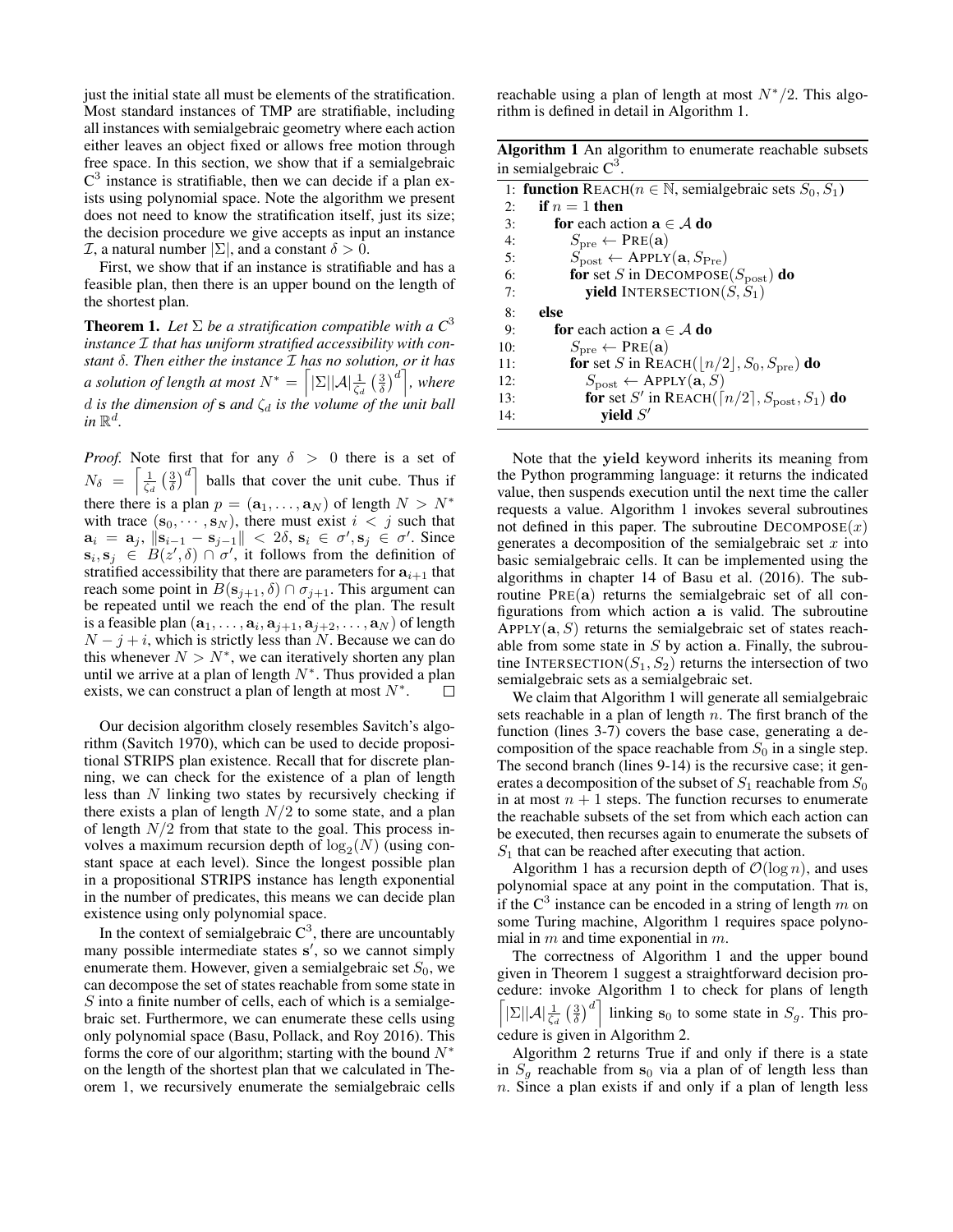just the initial state all must be elements of the stratification. Most standard instances of TMP are stratifiable, including all instances with semialgebraic geometry where each action either leaves an object fixed or allows free motion through free space. In this section, we show that if a semialgebraic  $C<sup>3</sup>$  instance is stratifiable, then we can decide if a plan exists using polynomial space. Note the algorithm we present does not need to know the stratification itself, just its size; the decision procedure we give accepts as input an instance  $\mathcal{I}$ , a natural number  $|\Sigma|$ , and a constant  $\delta > 0$ .

First, we show that if an instance is stratifiable and has a feasible plan, then there is an upper bound on the length of the shortest plan.

**Theorem 1.** Let  $\Sigma$  be a stratification compatible with a  $C^3$ *instance* I *that has uniform stratified accessibility with constant* δ*. Then either the instance* I *has no solution, or it has a solution of length at most*  $N^* = \left[ |\Sigma| |\mathcal{A}| \frac{1}{\zeta_d} \left( \frac{3}{\delta} \right)^d \right]$ , where d is the dimension of  $s$  and  $\zeta_d$  is the volume of the unit ball  $in \mathbb{R}^d$ .

*Proof.* Note first that for any  $\delta > 0$  there is a set of  $N_{\delta} = \left[\frac{1}{\zeta_d} \left(\frac{3}{\delta}\right)^d\right]$  balls that cover the unit cube. Thus if there there is a plan  $p = (\mathbf{a}_1, \dots, \mathbf{a}_N)$  of length  $N > N^*$ with trace  $(\mathbf{s}_0, \dots, \mathbf{s}_N)$ , there must exist  $i < j$  such that  $\mathbf{a}_i = \mathbf{a}_j$ ,  $\|\mathbf{s}_{i-1} - \mathbf{s}_{j-1}\| < 2\delta$ ,  $\mathbf{s}_i \in \sigma'$ ,  $\mathbf{s}_j \in \sigma'$ . Since  $\mathbf{s}_i, \mathbf{s}_j \in B(z',\delta) \cap \sigma'$ , it follows from the definition of stratified accessibility that there are parameters for  $a_{i+1}$  that reach some point in  $B(\mathbf{s}_{j+1}, \delta) \cap \sigma_{j+1}$ . This argument can be repeated until we reach the end of the plan. The result is a feasible plan  $(\mathbf{a}_1, \dots, \mathbf{a}_i, \mathbf{a}_{j+1}, \mathbf{a}_{j+2}, \dots, \mathbf{a}_N)$  of length  $N - j + i$ , which is strictly less than N. Because we can do this whenever  $N > N^*$ , we can iteratively shorten any plan until we arrive at a plan of length  $N^*$ . Thus provided a plan exists, we can construct a plan of length at most  $N^*$ . П

Our decision algorithm closely resembles Savitch's algorithm (Savitch 1970), which can be used to decide propositional STRIPS plan existence. Recall that for discrete planning, we can check for the existence of a plan of length less than N linking two states by recursively checking if there exists a plan of length  $N/2$  to some state, and a plan of length  $N/2$  from that state to the goal. This process involves a maximum recursion depth of  $log_2(N)$  (using constant space at each level). Since the longest possible plan in a propositional STRIPS instance has length exponential in the number of predicates, this means we can decide plan existence using only polynomial space.

In the context of semialgebraic  $C^3$ , there are uncountably many possible intermediate states s', so we cannot simply enumerate them. However, given a semialgebraic set  $S_0$ , we can decompose the set of states reachable from some state in  $S$  into a finite number of cells, each of which is a semialgebraic set. Furthermore, we can enumerate these cells using only polynomial space (Basu, Pollack, and Roy 2016). This forms the core of our algorithm; starting with the bound  $N^*$ on the length of the shortest plan that we calculated in Theorem 1, we recursively enumerate the semialgebraic cells

reachable using a plan of length at most  $N*/2$ . This algorithm is defined in detail in Algorithm 1.

| <b>Algorithm 1</b> An algorithm to enumerate reachable subsets |  |  |
|----------------------------------------------------------------|--|--|
| in semialgebraic $C^3$ .                                       |  |  |

|     | 1: <b>function</b> REACH( $n \in \mathbb{N}$ , semialgebraic sets $S_0, S_1$ ) |
|-----|--------------------------------------------------------------------------------|
| 2:  | if $n=1$ then                                                                  |
| 3:  | <b>for</b> each action $a \in A$ <b>do</b>                                     |
| 4:  | $S_{\text{pre}} \leftarrow \text{PRE}(\mathbf{a})$                             |
| 5:  | $S_{\text{post}} \leftarrow \text{APPLY}(\mathbf{a}, S_{\text{Pre}})$          |
| 6:  | for set S in DECOMPOSE( $S_{\text{post}}$ ) do                                 |
| 7:  | <b>yield</b> INTERSECTION( $S, S_1$ )                                          |
| 8:  | else                                                                           |
| 9:  | <b>for</b> each action $a \in A$ <b>do</b>                                     |
| 10: | $S_{\text{pre}} \leftarrow \text{PRE}(\mathbf{a})$                             |
| 11: | for set S in REACH( $\lfloor n/2 \rfloor$ , $S_0$ , $S_{pre}$ ) do             |
| 12: | $S_{\text{post}} \leftarrow \text{APPLY}(\mathbf{a}, S)$                       |
| 13: | for set S' in REACH( $\lceil n/2 \rceil$ , $S_{\text{post}}$ , $S_1$ ) do      |
| 14: | vield $S'$                                                                     |

Note that the yield keyword inherits its meaning from the Python programming language: it returns the indicated value, then suspends execution until the next time the caller requests a value. Algorithm 1 invokes several subroutines not defined in this paper. The subroutine  $DECOMPOSE(x)$ generates a decomposition of the semialgebraic set  $x$  into basic semialgebraic cells. It can be implemented using the algorithms in chapter 14 of Basu et al. (2016). The subroutine  $PRE(a)$  returns the semialgebraic set of all configurations from which action a is valid. The subroutine APPLY( $\mathbf{a}, S$ ) returns the semialgebraic set of states reachable from some state in  $S$  by action a. Finally, the subroutine INTERSECTION( $S_1, S_2$ ) returns the intersection of two semialgebraic sets as a semialgebraic set.

We claim that Algorithm 1 will generate all semialgebraic sets reachable in a plan of length  $n$ . The first branch of the function (lines 3-7) covers the base case, generating a decomposition of the space reachable from  $S_0$  in a single step. The second branch (lines 9-14) is the recursive case; it generates a decomposition of the subset of  $S_1$  reachable from  $S_0$ in at most  $n + 1$  steps. The function recurses to enumerate the reachable subsets of the set from which each action can be executed, then recurses again to enumerate the subsets of  $S_1$  that can be reached after executing that action.

Algorithm 1 has a recursion depth of  $\mathcal{O}(\log n)$ , and uses polynomial space at any point in the computation. That is, if the  $C^3$  instance can be encoded in a string of length m on some Turing machine, Algorithm 1 requires space polynomial in  $m$  and time exponential in  $m$ .

The correctness of Algorithm 1 and the upper bound given in Theorem 1 suggest a straightforward decision procedure: invoke Algorithm 1 to check for plans of length  $\left[\sum ||\mathcal{A}|| \frac{1}{\zeta_d} \left(\frac{3}{\delta}\right)^d\right]$  linking s<sub>0</sub> to some state in  $S_g$ . This procedure is given in Algorithm 2.

Algorithm 2 returns True if and only if there is a state in  $S_a$  reachable from  $s_0$  via a plan of of length less than  $n.$  Since a plan exists if and only if a plan of length less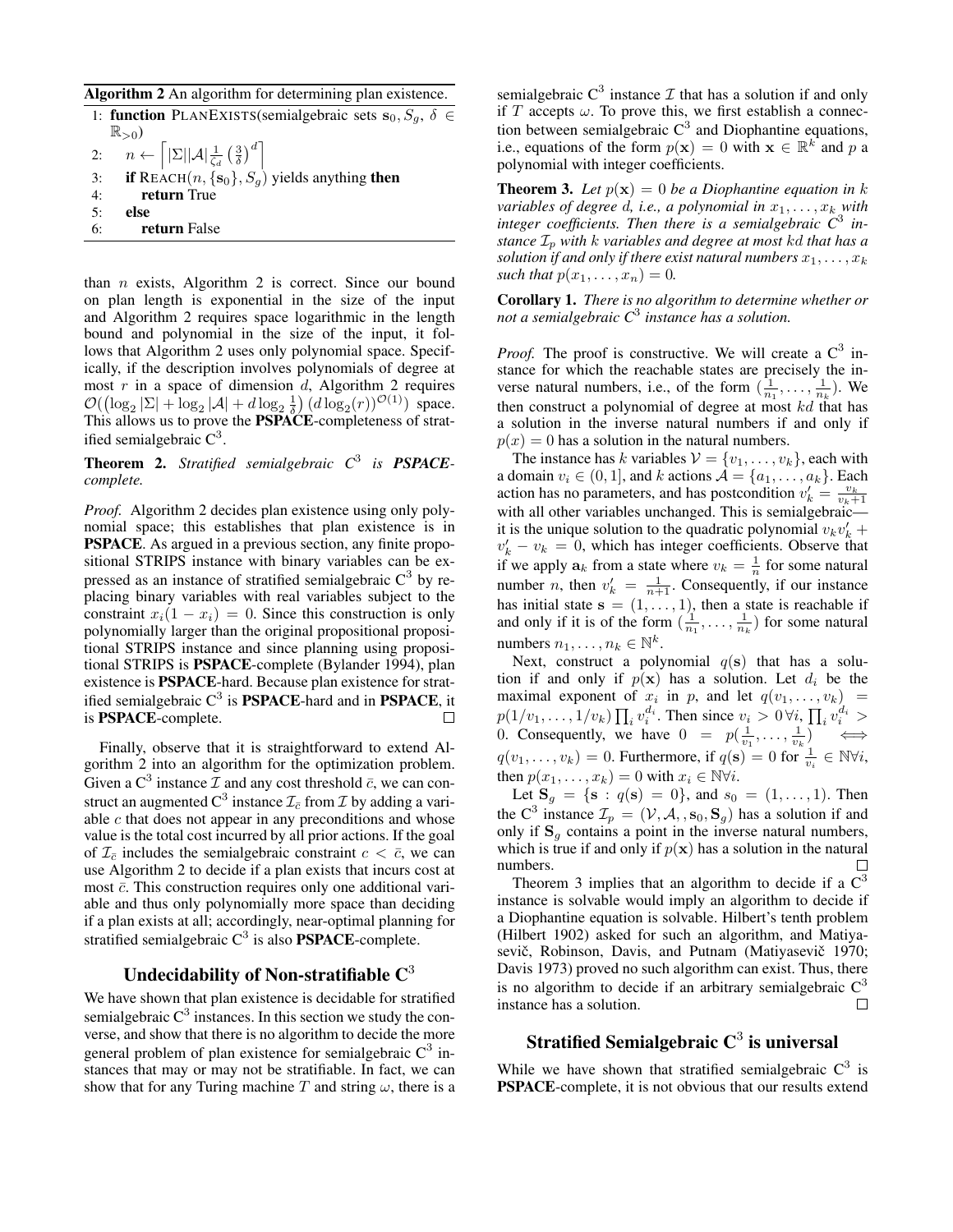Algorithm 2 An algorithm for determining plan existence.

|    | 1: <b>function</b> PLANEXISTS(semialgebraic sets $s_0, S_a, \delta \in$                                               |
|----|-----------------------------------------------------------------------------------------------------------------------|
|    | $\mathbb{R}_{>0}$ )                                                                                                   |
|    | 2: $n \leftarrow \left\lceil  \Sigma   \mathcal{A}  \frac{1}{\zeta_d} \left( \frac{3}{\delta} \right)^d \right\rceil$ |
| 3: | <b>if</b> REACH $(n, \{s_0\}, S_q)$ yields anything <b>then</b>                                                       |
| 4: | return True                                                                                                           |
| 5: | else                                                                                                                  |
| 6: | return False                                                                                                          |

than  $n$  exists, Algorithm 2 is correct. Since our bound on plan length is exponential in the size of the input and Algorithm 2 requires space logarithmic in the length bound and polynomial in the size of the input, it follows that Algorithm 2 uses only polynomial space. Specifically, if the description involves polynomials of degree at most  $r$  in a space of dimension  $d$ , Algorithm 2 requires  $\mathcal{O}((\log_2 |\Sigma| + \log_2 |\mathcal{A}| + d \log_2 \frac{1}{\delta}) (d \log_2(r))^{\mathcal{O}(1)})$  space. This allows us to prove the **PSPACE**-completeness of stratified semialgebraic  $C^3$ .

Theorem 2. *Stratified semialgebraic C*<sup>3</sup> *is PSPACEcomplete.*

*Proof.* Algorithm 2 decides plan existence using only polynomial space; this establishes that plan existence is in PSPACE. As argued in a previous section, any finite propositional STRIPS instance with binary variables can be expressed as an instance of stratified semialgebraic  $C^3$  by replacing binary variables with real variables subject to the constraint  $x_i(1 - x_i) = 0$ . Since this construction is only polynomially larger than the original propositional propositional STRIPS instance and since planning using propositional STRIPS is PSPACE-complete (Bylander 1994), plan existence is PSPACE-hard. Because plan existence for stratified semialgebraic  $C^3$  is **PSPACE**-hard and in **PSPACE**, it is PSPACE-complete.  $\Box$ 

Finally, observe that it is straightforward to extend Algorithm 2 into an algorithm for the optimization problem. Given a C<sup>3</sup> instance  $\mathcal I$  and any cost threshold  $\bar c$ , we can construct an augmented  $\text{C}^3$  instance  $\mathcal{I}_{\bar{c}}$  from  $\mathcal I$  by adding a variable  $c$  that does not appear in any preconditions and whose value is the total cost incurred by all prior actions. If the goal of  $\mathcal{I}_{\bar{c}}$  includes the semialgebraic constraint  $c < \bar{c}$ , we can use Algorithm 2 to decide if a plan exists that incurs cost at most  $\bar{c}$ . This construction requires only one additional variable and thus only polynomially more space than deciding if a plan exists at all; accordingly, near-optimal planning for stratified semialgebraic  $C^3$  is also **PSPACE**-complete.

## Undecidability of Non-stratifiable  $\mathbb{C}^3$

We have shown that plan existence is decidable for stratified semialgebraic  $C^3$  instances. In this section we study the converse, and show that there is no algorithm to decide the more general problem of plan existence for semialgebraic  $C^3$  instances that may or may not be stratifiable. In fact, we can show that for any Turing machine T and string  $\omega$ , there is a

semialgebraic  $C^3$  instance  $\mathcal I$  that has a solution if and only if T accepts  $\omega$ . To prove this, we first establish a connection between semialgebraic  $C^3$  and Diophantine equations, i.e., equations of the form  $p(\mathbf{x}) = 0$  with  $\mathbf{x} \in \mathbb{R}^{k^2}$  and p a polynomial with integer coefficients.

**Theorem 3.** Let  $p(x) = 0$  be a Diophantine equation in k *variables of degree d, i.e., a polynomial in*  $x_1, \ldots, x_k$  *with integer coefficients. Then there is a semialgebraic C*<sup>3</sup> *instance*  $\mathcal{I}_p$  *with k variables and degree at most kd that has a solution if and only if there exist natural numbers*  $x_1, \ldots, x_k$ *such that*  $p(x_1, ..., x_n) = 0$ .

Corollary 1. *There is no algorithm to determine whether or not a semialgebraic C*<sup>3</sup> *instance has a solution.*

*Proof.* The proof is constructive. We will create a  $\mathbb{C}^3$  instance for which the reachable states are precisely the inverse natural numbers, i.e., of the form  $(\frac{1}{n_1}, \ldots, \frac{1}{n_k})$ . We then construct a polynomial of degree at most  $kd$  that has a solution in the inverse natural numbers if and only if  $p(x) = 0$  has a solution in the natural numbers.

The instance has k variables  $V = \{v_1, \ldots, v_k\}$ , each with a domain  $v_i \in (0, 1]$ , and k actions  $\mathcal{A} = \{a_1, \dots, a_k\}$ . Each action has no parameters, and has postcondition  $v'_k = \frac{v_k}{v_k+1}$ with all other variables unchanged. This is semialgebraic it is the unique solution to the quadratic polynomial  $v_kv_k'$  +  $v'_k - v_k = 0$ , which has integer coefficients. Observe that if we apply  $a_k$  from a state where  $v_k = \frac{1}{n}$  for some natural number *n*, then  $v'_k = \frac{1}{n+1}$ . Consequently, if our instance has initial state  $s = (1, \ldots, 1)$ , then a state is reachable if and only if it is of the form  $(\frac{1}{n_1}, \ldots, \frac{1}{n_k})$  for some natural numbers  $n_1, \ldots, n_k \in \mathbb{N}^k$ .

Next, construct a polynomial  $q(s)$  that has a solution if and only if  $p(x)$  has a solution. Let  $d_i$  be the maximal exponent of  $x_i$  in  $p$ , and let  $q(v_1, \ldots, v_k)$  =  $p(1/v_1, \ldots, 1/v_k) \prod_i v_i^{d_i}$ . Then since  $v_i > 0 \forall i$ ,  $\prod_i v_i^{d_i} >$ 0. Consequently, we have  $0 = p(\frac{1}{v_1}, \dots, \frac{1}{v_k}) \iff$  $q(v_1, \ldots, v_k) = 0$ . Furthermore, if  $q(s) = 0$  for  $\frac{1}{v_i} \in \mathbb{N} \forall i$ , then  $p(x_1, \ldots, x_k) = 0$  with  $x_i \in \mathbb{N} \forall i$ .

Let  $S_q = \{s : q(s) = 0\}$ , and  $s_0 = (1, \ldots, 1)$ . Then the C<sup>3</sup> instance  $\mathcal{I}_p = (\mathcal{V}, \mathcal{A}, s_0, \mathbf{S}_g)$  has a solution if and only if  $S<sub>q</sub>$  contains a point in the inverse natural numbers, which is true if and only if  $p(x)$  has a solution in the natural numbers. □

Theorem 3 implies that an algorithm to decide if a  $C<sup>3</sup>$ instance is solvable would imply an algorithm to decide if a Diophantine equation is solvable. Hilbert's tenth problem (Hilbert 1902) asked for such an algorithm, and Matiyasevič, Robinson, Davis, and Putnam (Matiyasevič 1970; Davis 1973) proved no such algorithm can exist. Thus, there is no algorithm to decide if an arbitrary semialgebraic  $C<sup>3</sup>$ instance has a solution.  $\Box$ 

# Stratified Semialgebraic  $\mathbf{C}^3$  is universal

While we have shown that stratified semialgebraic  $C^3$  is PSPACE-complete, it is not obvious that our results extend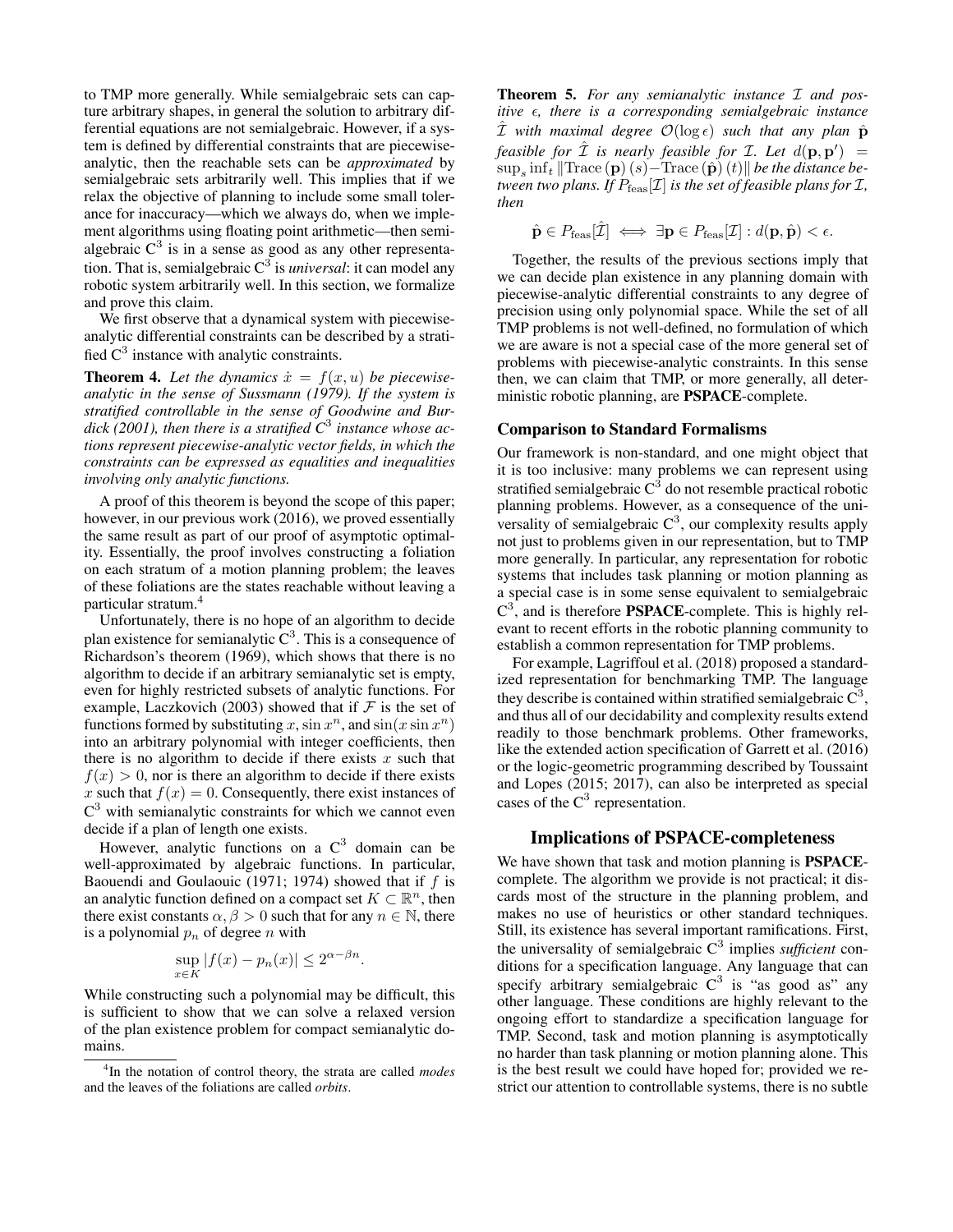to TMP more generally. While semialgebraic sets can capture arbitrary shapes, in general the solution to arbitrary differential equations are not semialgebraic. However, if a system is defined by differential constraints that are piecewiseanalytic, then the reachable sets can be *approximated* by semialgebraic sets arbitrarily well. This implies that if we relax the objective of planning to include some small tolerance for inaccuracy—which we always do, when we implement algorithms using floating point arithmetic—then semialgebraic  $C^3$  is in a sense as good as any other representation. That is, semialgebraic C<sup>3</sup> is *universal*: it can model any robotic system arbitrarily well. In this section, we formalize and prove this claim.

We first observe that a dynamical system with piecewiseanalytic differential constraints can be described by a stratified  $C^3$  instance with analytic constraints.

**Theorem 4.** Let the dynamics  $\dot{x} = f(x, u)$  be piecewise*analytic in the sense of Sussmann (1979). If the system is stratified controllable in the sense of Goodwine and Burdick (2001), then there is a stratified C*<sup>3</sup> *instance whose actions represent piecewise-analytic vector fields, in which the constraints can be expressed as equalities and inequalities involving only analytic functions.*

A proof of this theorem is beyond the scope of this paper; however, in our previous work (2016), we proved essentially the same result as part of our proof of asymptotic optimality. Essentially, the proof involves constructing a foliation on each stratum of a motion planning problem; the leaves of these foliations are the states reachable without leaving a particular stratum.<sup>4</sup>

Unfortunately, there is no hope of an algorithm to decide plan existence for semianalytic  $C^3$ . This is a consequence of Richardson's theorem (1969), which shows that there is no algorithm to decide if an arbitrary semianalytic set is empty, even for highly restricted subsets of analytic functions. For example, Laczkovich (2003) showed that if  $\mathcal F$  is the set of functions formed by substituting x,  $\sin x^n$ , and  $\sin(x \sin x^n)$ into an arbitrary polynomial with integer coefficients, then there is no algorithm to decide if there exists  $x$  such that  $f(x) > 0$ , nor is there an algorithm to decide if there exists x such that  $f(x) = 0$ . Consequently, there exist instances of  $C<sup>3</sup>$  with semianalytic constraints for which we cannot even decide if a plan of length one exists.

However, analytic functions on a  $C^3$  domain can be well-approximated by algebraic functions. In particular, Baouendi and Goulaouic (1971; 1974) showed that if  $f$  is an analytic function defined on a compact set  $K \subset \mathbb{R}^n$ , then there exist constants  $\alpha, \beta > 0$  such that for any  $n \in \mathbb{N}$ , there is a polynomial  $p_n$  of degree n with

$$
\sup_{x \in K} |f(x) - p_n(x)| \le 2^{\alpha - \beta n}
$$

.

While constructing such a polynomial may be difficult, this is sufficient to show that we can solve a relaxed version of the plan existence problem for compact semianalytic domains.

Theorem 5. *For any semianalytic instance* I *and positive*  $\epsilon$ , *there is a corresponding semialgebraic instance*  $\hat{\mathcal{I}}$  with maximal degree  $\mathcal{O}(\log \epsilon)$  such that any plan  $\hat{\mathbf{p}}$ *feasible for*  $\hat{\mathcal{I}}$  *is nearly feasible for L. Let*  $d(\mathbf{p}, \mathbf{p}') =$  $\sup_{s}\inf_{t}\|\text{Trace}\left(\mathbf{p}\right)\left(s\right)-\text{Trace}\left(\hat{\mathbf{p}}\right)\left(t\right)\|$  *be the distance between two plans. If*  $P_{\text{feas}}[\mathcal{I}]$  *is the set of feasible plans for*  $\mathcal{I}$ *, then*

$$
\hat{\mathbf{p}} \in P_{\text{feas}}[\hat{\mathcal{I}}] \iff \exists \mathbf{p} \in P_{\text{feas}}[\mathcal{I}] : d(\mathbf{p}, \hat{\mathbf{p}}) < \epsilon.
$$

Together, the results of the previous sections imply that we can decide plan existence in any planning domain with piecewise-analytic differential constraints to any degree of precision using only polynomial space. While the set of all TMP problems is not well-defined, no formulation of which we are aware is not a special case of the more general set of problems with piecewise-analytic constraints. In this sense then, we can claim that TMP, or more generally, all deterministic robotic planning, are PSPACE-complete.

#### Comparison to Standard Formalisms

Our framework is non-standard, and one might object that it is too inclusive: many problems we can represent using stratified semialgebraic  $C^3$  do not resemble practical robotic planning problems. However, as a consequence of the universality of semialgebraic  $C^3$ , our complexity results apply not just to problems given in our representation, but to TMP more generally. In particular, any representation for robotic systems that includes task planning or motion planning as a special case is in some sense equivalent to semialgebraic  $C^3$ , and is therefore **PSPACE**-complete. This is highly relevant to recent efforts in the robotic planning community to establish a common representation for TMP problems.

For example, Lagriffoul et al. (2018) proposed a standardized representation for benchmarking TMP. The language they describe is contained within stratified semialgebraic  $C<sup>3</sup>$ , and thus all of our decidability and complexity results extend readily to those benchmark problems. Other frameworks, like the extended action specification of Garrett et al. (2016) or the logic-geometric programming described by Toussaint and Lopes (2015; 2017), can also be interpreted as special cases of the  $C^3$  representation.

### Implications of PSPACE-completeness

We have shown that task and motion planning is **PSPACE**complete. The algorithm we provide is not practical; it discards most of the structure in the planning problem, and makes no use of heuristics or other standard techniques. Still, its existence has several important ramifications. First, the universality of semialgebraic C<sup>3</sup> implies *sufficient* conditions for a specification language. Any language that can specify arbitrary semialgebraic  $C^3$  is "as good as" any other language. These conditions are highly relevant to the ongoing effort to standardize a specification language for TMP. Second, task and motion planning is asymptotically no harder than task planning or motion planning alone. This is the best result we could have hoped for; provided we restrict our attention to controllable systems, there is no subtle

<sup>4</sup> In the notation of control theory, the strata are called *modes* and the leaves of the foliations are called *orbits*.